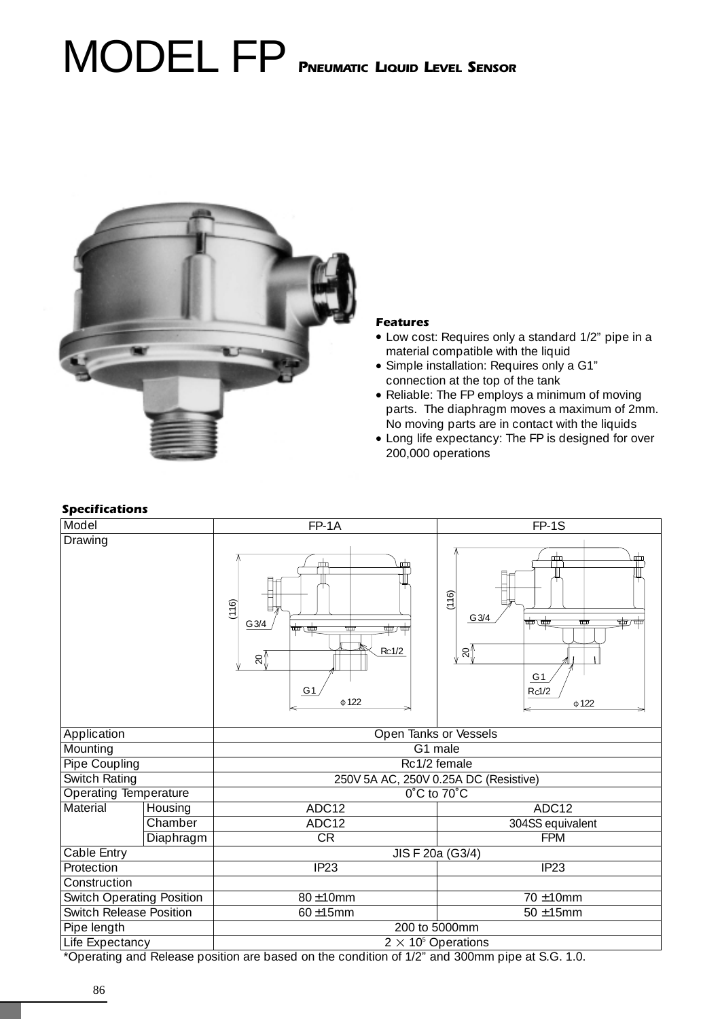# MODEL FP **PNEUMATIC LIQUID LEVEL SENSOR**



# **Features**

- Low cost: Requires only a standard 1/2" pipe in a material compatible with the liquid
- Simple installation: Requires only a G1" connection at the top of the tank
- •Reliable: The FP employs a minimum of moving parts. The diaphragm moves a maximum of 2mm. No moving parts are in contact with the liquids
- Long life expectancy: The FP is designed for over 200,000 operations

# **Specifications**

| aш<br>严<br>(116)<br>(116)<br>G 3/4<br>$G$ 3/4<br>ιΦ<br>पाण 7<br>Ш<br><del>ৠ</del> ⊽ৠ<br>क्काक्क<br>mn<br>Rc1/2<br>≲ໃ<br>$\approx$<br>G <sub>1</sub><br>G <sub>1</sub><br>Rc1/2<br>$\Phi$ 122<br>$\Phi$ 122<br>Open Tanks or Vessels<br>G1 male<br>Rc1/2 female<br>250V 5A AC, 250V 0.25A DC (Resistive)<br>Operating Temperature<br>0°C to 70°C<br>ADC12<br>ADC12<br>Material<br>Housing<br>Chamber<br>ADC12<br>304SS equivalent<br>Diaphragm<br><b>CR</b><br><b>FPM</b><br>Cable Entry<br>JIS F 20a (G3/4)<br>IP <sub>23</sub><br>IP <sub>23</sub><br><b>Switch Operating Position</b><br>80±10mm<br>70 ±10mm<br><b>Switch Release Position</b><br>60±15mm<br>$50 \pm 15$ mm<br>200 to 5000mm | Model           |  | FP-1A                      | FP-1S |  |
|------------------------------------------------------------------------------------------------------------------------------------------------------------------------------------------------------------------------------------------------------------------------------------------------------------------------------------------------------------------------------------------------------------------------------------------------------------------------------------------------------------------------------------------------------------------------------------------------------------------------------------------------------------------------------------------------|-----------------|--|----------------------------|-------|--|
|                                                                                                                                                                                                                                                                                                                                                                                                                                                                                                                                                                                                                                                                                                | Drawing         |  |                            |       |  |
|                                                                                                                                                                                                                                                                                                                                                                                                                                                                                                                                                                                                                                                                                                | Application     |  |                            |       |  |
|                                                                                                                                                                                                                                                                                                                                                                                                                                                                                                                                                                                                                                                                                                | Mounting        |  |                            |       |  |
|                                                                                                                                                                                                                                                                                                                                                                                                                                                                                                                                                                                                                                                                                                | Pipe Coupling   |  |                            |       |  |
|                                                                                                                                                                                                                                                                                                                                                                                                                                                                                                                                                                                                                                                                                                | Switch Rating   |  |                            |       |  |
|                                                                                                                                                                                                                                                                                                                                                                                                                                                                                                                                                                                                                                                                                                |                 |  |                            |       |  |
|                                                                                                                                                                                                                                                                                                                                                                                                                                                                                                                                                                                                                                                                                                |                 |  |                            |       |  |
|                                                                                                                                                                                                                                                                                                                                                                                                                                                                                                                                                                                                                                                                                                |                 |  |                            |       |  |
|                                                                                                                                                                                                                                                                                                                                                                                                                                                                                                                                                                                                                                                                                                |                 |  |                            |       |  |
|                                                                                                                                                                                                                                                                                                                                                                                                                                                                                                                                                                                                                                                                                                |                 |  |                            |       |  |
|                                                                                                                                                                                                                                                                                                                                                                                                                                                                                                                                                                                                                                                                                                | Protection      |  |                            |       |  |
|                                                                                                                                                                                                                                                                                                                                                                                                                                                                                                                                                                                                                                                                                                | Construction    |  |                            |       |  |
|                                                                                                                                                                                                                                                                                                                                                                                                                                                                                                                                                                                                                                                                                                |                 |  |                            |       |  |
|                                                                                                                                                                                                                                                                                                                                                                                                                                                                                                                                                                                                                                                                                                |                 |  |                            |       |  |
|                                                                                                                                                                                                                                                                                                                                                                                                                                                                                                                                                                                                                                                                                                | Pipe length     |  |                            |       |  |
|                                                                                                                                                                                                                                                                                                                                                                                                                                                                                                                                                                                                                                                                                                | Life Expectancy |  | $2 \times 10^5$ Operations |       |  |

\*Operating and Release position are based on the condition of 1/2" and 300mm pipe at S.G. 1.0.